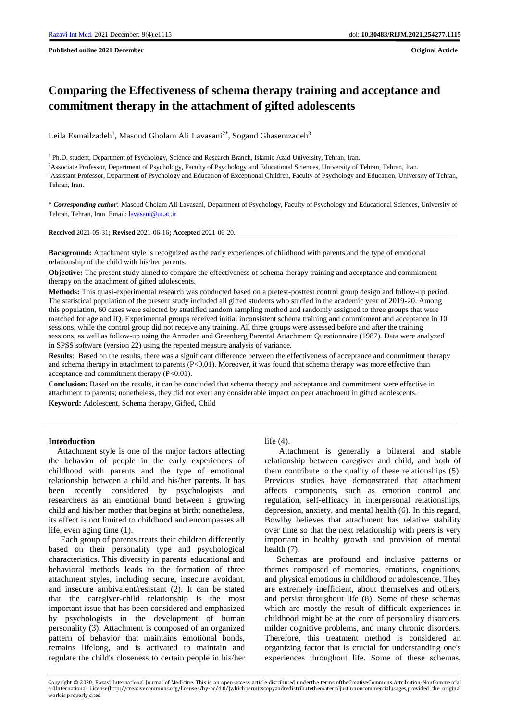**Published online 2021 December Original Article**

# **Comparing the Effectiveness of schema therapy training and acceptance and commitment therapy in the attachment of gifted adolescents**

Leila Esmailzadeh<sup>1</sup>, Masoud Gholam Ali Lavasani<sup>2\*</sup>, Sogand Ghasemzadeh<sup>3</sup>

<sup>1</sup> Ph.D. student, Department of Psychology, Science and Research Branch, Islamic Azad University, Tehran, Iran.

<sup>2</sup>Associate Professor, Department of Psychology, Faculty of Psychology and Educational Sciences, University of Tehran, Tehran, Iran. <sup>3</sup>Assistant Professor, Department of Psychology and Education of Exceptional Children, Faculty of Psychology and Education, University of Tehran, Tehran, Iran.

**\*** *Corresponding author*: Masoud Gholam Ali Lavasani, Department of Psychology, Faculty of Psychology and Educational Sciences, University of Tehran, Tehran, Iran. Email[: lavasani@ut.ac.ir](mailto:lavasani@ut.ac.ir)

**Received** 2021-05-31**; Revised** 2021-06-16**; Accepted** 2021-06-20.

**Background:** Attachment style is recognized as the early experiences of childhood with parents and the type of emotional relationship of the child with his/her parents.

**Objective:** The present study aimed to compare the effectiveness of schema therapy training and acceptance and commitment therapy on the attachment of gifted adolescents.

**Methods:** This quasi-experimental research was conducted based on a pretest-posttest control group design and follow-up period. The statistical population of the present study included all gifted students who studied in the academic year of 2019-20. Among this population, 60 cases were selected by stratified random sampling method and randomly assigned to three groups that were matched for age and IQ. Experimental groups received initial inconsistent schema training and commitment and acceptance in 10 sessions, while the control group did not receive any training. All three groups were assessed before and after the training sessions, as well as follow-up using the Armsden and Greenberg Parental Attachment Questionnaire (1987). Data were analyzed in SPSS software (version 22) using the repeated measure analysis of variance.

**Results**: Based on the results, there was a significant difference between the effectiveness of acceptance and commitment therapy and schema therapy in attachment to parents (P<0.01). Moreover, it was found that schema therapy was more effective than acceptance and commitment therapy (P<0.01).

**Conclusion:** Based on the results, it can be concluded that schema therapy and acceptance and commitment were effective in attachment to parents; nonetheless, they did not exert any considerable impact on peer attachment in gifted adolescents. **Keyword:** Adolescent, Schema therapy, Gifted, Child

#### **Introduction**

 Attachment style is one of the major factors affecting the behavior of people in the early experiences of childhood with parents and the type of emotional relationship between a child and his/her parents. It has been recently considered by psychologists and researchers as an emotional bond between a growing child and his/her mother that begins at birth; nonetheless, its effect is not limited to childhood and encompasses all life, even aging time (1).

Each group of parents treats their children differently based on their personality type and psychological characteristics. This diversity in parents' educational and behavioral methods leads to the formation of three attachment styles, including secure, insecure avoidant, and insecure ambivalent/resistant (2). It can be stated that the caregiver-child relationship is the most important issue that has been considered and emphasized by psychologists in the development of human personality (3). Attachment is composed of an organized pattern of behavior that maintains emotional bonds, remains lifelong, and is activated to maintain and regulate the child's closeness to certain people in his/her

#### life (4).

Attachment is generally a bilateral and stable relationship between caregiver and child, and both of them contribute to the quality of these relationships (5). Previous studies have demonstrated that attachment affects components, such as emotion control and regulation, self-efficacy in interpersonal relationships, depression, anxiety, and mental health (6). In this regard, Bowlby believes that attachment has relative stability over time so that the next relationship with peers is very important in healthy growth and provision of mental health (7).

Schemas are profound and inclusive patterns or themes composed of memories, emotions, cognitions, and physical emotions in childhood or adolescence. They are extremely inefficient, about themselves and others, and persist throughout life (8). Some of these schemas which are mostly the result of difficult experiences in childhood might be at the core of personality disorders, milder cognitive problems, and many chronic disorders. Therefore, this treatment method is considered an organizing factor that is crucial for understanding one's experiences throughout life. Some of these schemas,

Copyright © 2020, Razavi International Journal of Medicine. This is an open-access article distributed underthe terms oftheCreativeCommons Attribution-NonCommercial 4.0International License(http://creativecommons.org/licenses/by-nc/4.0/)whichpermitscopyandredistributethematerialjustinnoncommercialusages,provided the original work is properly cited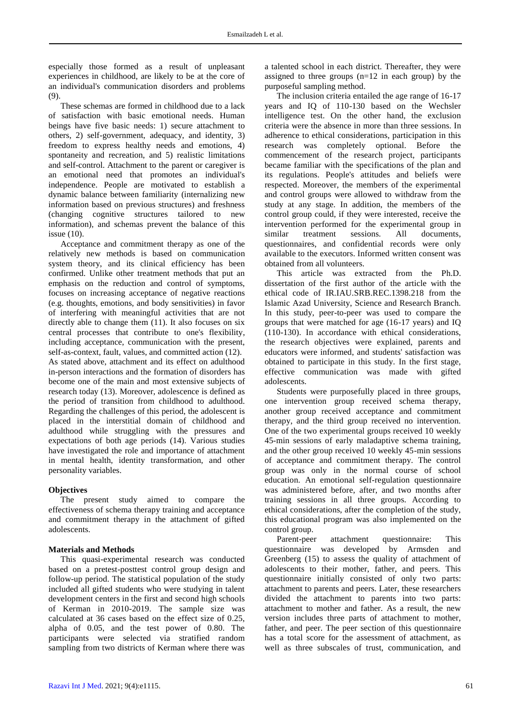especially those formed as a result of unpleasant experiences in childhood, are likely to be at the core of an individual's communication disorders and problems (9).

These schemas are formed in childhood due to a lack of satisfaction with basic emotional needs. Human beings have five basic needs: 1) secure attachment to others, 2) self-government, adequacy, and identity, 3) freedom to express healthy needs and emotions, 4) spontaneity and recreation, and 5) realistic limitations and self-control. Attachment to the parent or caregiver is an emotional need that promotes an individual's independence. People are motivated to establish a dynamic balance between familiarity (internalizing new information based on previous structures) and freshness (changing cognitive structures tailored to new information), and schemas prevent the balance of this issue (10).

Acceptance and commitment therapy as one of the relatively new methods is based on communication system theory, and its clinical efficiency has been confirmed. Unlike other treatment methods that put an emphasis on the reduction and control of symptoms, focuses on increasing acceptance of negative reactions (e.g. thoughts, emotions, and body sensitivities) in favor of interfering with meaningful activities that are not directly able to change them (11). It also focuses on six central processes that contribute to one's flexibility, including acceptance, communication with the present, self-as-context, fault, values, and committed action (12). As stated above, attachment and its effect on adulthood in-person interactions and the formation of disorders has become one of the main and most extensive subjects of research today (13). Moreover, adolescence is defined as the period of transition from childhood to adulthood. Regarding the challenges of this period, the adolescent is placed in the interstitial domain of childhood and adulthood while struggling with the pressures and expectations of both age periods (14). Various studies have investigated the role and importance of attachment in mental health, identity transformation, and other personality variables.

#### **Objectives**

The present study aimed to compare the effectiveness of schema therapy training and acceptance and commitment therapy in the attachment of gifted adolescents.

#### **Materials and Methods**

This quasi-experimental research was conducted based on a pretest-posttest control group design and follow-up period. The statistical population of the study included all gifted students who were studying in talent development centers in the first and second high schools of Kerman in 2010-2019. The sample size was calculated at 36 cases based on the effect size of 0.25, alpha of 0.05, and the test power of 0.80. The participants were selected via stratified random sampling from two districts of Kerman where there was

a talented school in each district. Thereafter, they were assigned to three groups (n=12 in each group) by the purposeful sampling method.

The inclusion criteria entailed the age range of 16-17 years and IQ of 110-130 based on the Wechsler intelligence test. On the other hand, the exclusion criteria were the absence in more than three sessions. In adherence to ethical considerations, participation in this research was completely optional. Before the commencement of the research project, participants became familiar with the specifications of the plan and its regulations. People's attitudes and beliefs were respected. Moreover, the members of the experimental and control groups were allowed to withdraw from the study at any stage. In addition, the members of the control group could, if they were interested, receive the intervention performed for the experimental group in similar treatment sessions. All documents, questionnaires, and confidential records were only available to the executors. Informed written consent was obtained from all volunteers.

This article was extracted from the Ph.D. dissertation of the first author of the article with the ethical code of IR.IAU.SRB.REC.1398.218 from the Islamic Azad University, Science and Research Branch. In this study, peer-to-peer was used to compare the groups that were matched for age (16-17 years) and IQ (110-130). In accordance with ethical considerations, the research objectives were explained, parents and educators were informed, and students' satisfaction was obtained to participate in this study. In the first stage, effective communication was made with gifted adolescents.

Students were purposefully placed in three groups, one intervention group received schema therapy, another group received acceptance and commitment therapy, and the third group received no intervention. One of the two experimental groups received 10 weekly 45-min sessions of early maladaptive schema training, and the other group received 10 weekly 45-min sessions of acceptance and commitment therapy. The control group was only in the normal course of school education. An emotional self-regulation questionnaire was administered before, after, and two months after training sessions in all three groups. According to ethical considerations, after the completion of the study, this educational program was also implemented on the control group.

Parent-peer attachment questionnaire: This questionnaire was developed by Armsden and Greenberg (15) to assess the quality of attachment of adolescents to their mother, father, and peers. This questionnaire initially consisted of only two parts: attachment to parents and peers. Later, these researchers divided the attachment to parents into two parts: attachment to mother and father. As a result, the new version includes three parts of attachment to mother, father, and peer. The peer section of this questionnaire has a total score for the assessment of attachment, as well as three subscales of trust, communication, and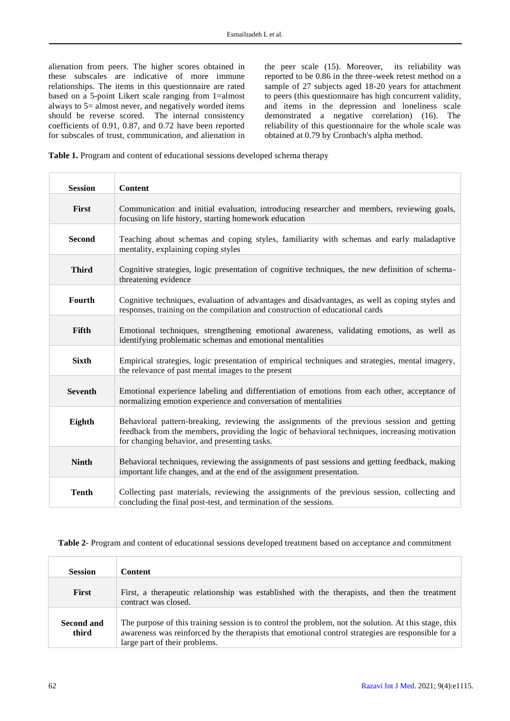alienation from peers. The higher scores obtained in these subscales are indicative of more immune relationships. The items in this questionnaire are rated based on a 5-point Likert scale ranging from 1=almost always to 5= almost never, and negatively worded items should be reverse scored. The internal consistency coefficients of 0.91, 0.87, and 0.72 have been reported for subscales of trust, communication, and alienation in

the peer scale (15). Moreover, its reliability was reported to be 0.86 in the three-week retest method on a sample of 27 subjects aged 18-20 years for attachment to peers (this questionnaire has high concurrent validity, and items in the depression and loneliness scale demonstrated a negative correlation) (16). The reliability of this questionnaire for the whole scale was obtained at 0.79 by Cronbach's alpha method.

**Table 1.** Program and content of educational sessions developed schema therapy

| <b>Session</b> | <b>Content</b>                                                                                                                                                                                                                               |
|----------------|----------------------------------------------------------------------------------------------------------------------------------------------------------------------------------------------------------------------------------------------|
| First          | Communication and initial evaluation, introducing researcher and members, reviewing goals,<br>focusing on life history, starting homework education                                                                                          |
| <b>Second</b>  | Teaching about schemas and coping styles, familiarity with schemas and early maladaptive<br>mentality, explaining coping styles                                                                                                              |
| <b>Third</b>   | Cognitive strategies, logic presentation of cognitive techniques, the new definition of schema-<br>threatening evidence                                                                                                                      |
| Fourth         | Cognitive techniques, evaluation of advantages and disadvantages, as well as coping styles and<br>responses, training on the compilation and construction of educational cards                                                               |
| Fifth          | Emotional techniques, strengthening emotional awareness, validating emotions, as well as<br>identifying problematic schemas and emotional mentalities                                                                                        |
| <b>Sixth</b>   | Empirical strategies, logic presentation of empirical techniques and strategies, mental imagery,<br>the relevance of past mental images to the present                                                                                       |
| <b>Seventh</b> | Emotional experience labeling and differentiation of emotions from each other, acceptance of<br>normalizing emotion experience and conversation of mentalities                                                                               |
| Eighth         | Behavioral pattern-breaking, reviewing the assignments of the previous session and getting<br>feedback from the members, providing the logic of behavioral techniques, increasing motivation<br>for changing behavior, and presenting tasks. |
| <b>Ninth</b>   | Behavioral techniques, reviewing the assignments of past sessions and getting feedback, making<br>important life changes, and at the end of the assignment presentation.                                                                     |
| <b>Tenth</b>   | Collecting past materials, reviewing the assignments of the previous session, collecting and<br>concluding the final post-test, and termination of the sessions.                                                                             |

**Table 2**- Program and content of educational sessions developed treatment based on acceptance and commitment

| <b>Session</b>             | <b>Content</b>                                                                                                                                                                                                                               |
|----------------------------|----------------------------------------------------------------------------------------------------------------------------------------------------------------------------------------------------------------------------------------------|
| <b>First</b>               | First, a therapeutic relationship was established with the therapists, and then the treatment<br>contract was closed.                                                                                                                        |
| <b>Second and</b><br>third | The purpose of this training session is to control the problem, not the solution. At this stage, this<br>awareness was reinforced by the therapists that emotional control strategies are responsible for a<br>large part of their problems. |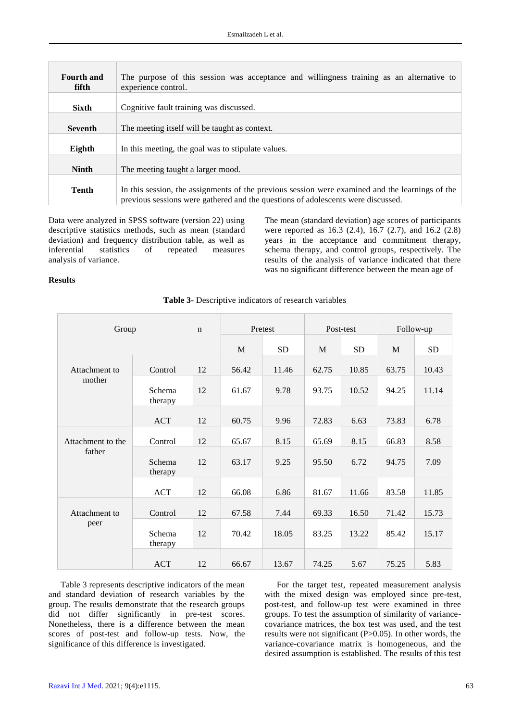| <b>Fourth and</b><br>fifth | The purpose of this session was acceptance and willingness training as an alternative to<br>experience control.                                                                     |
|----------------------------|-------------------------------------------------------------------------------------------------------------------------------------------------------------------------------------|
| <b>Sixth</b>               | Cognitive fault training was discussed.                                                                                                                                             |
| <b>Seventh</b>             | The meeting itself will be taught as context.                                                                                                                                       |
| Eighth                     | In this meeting, the goal was to stipulate values.                                                                                                                                  |
| <b>Ninth</b>               | The meeting taught a larger mood.                                                                                                                                                   |
| <b>Tenth</b>               | In this session, the assignments of the previous session were examined and the learnings of the<br>previous sessions were gathered and the questions of adolescents were discussed. |

Data were analyzed in SPSS software (version 22) using descriptive statistics methods, such as mean (standard deviation) and frequency distribution table, as well as inferential statistics of repeated measures analysis of variance.

The mean (standard deviation) age scores of participants were reported as 16.3 (2.4), 16.7 (2.7), and 16.2 (2.8) years in the acceptance and commitment therapy, schema therapy, and control groups, respectively. The results of the analysis of variance indicated that there was no significant difference between the mean age of

### **Results**

| Group                       |                   | $\mathbf n$ | Pretest |           | Post-test |           | Follow-up |           |
|-----------------------------|-------------------|-------------|---------|-----------|-----------|-----------|-----------|-----------|
|                             |                   |             | M       | <b>SD</b> | M         | <b>SD</b> | M         | <b>SD</b> |
| Attachment to<br>mother     | Control           | 12          | 56.42   | 11.46     | 62.75     | 10.85     | 63.75     | 10.43     |
|                             | Schema<br>therapy | 12          | 61.67   | 9.78      | 93.75     | 10.52     | 94.25     | 11.14     |
|                             | <b>ACT</b>        | 12          | 60.75   | 9.96      | 72.83     | 6.63      | 73.83     | 6.78      |
| Attachment to the<br>father | Control           | 12          | 65.67   | 8.15      | 65.69     | 8.15      | 66.83     | 8.58      |
|                             | Schema<br>therapy | 12          | 63.17   | 9.25      | 95.50     | 6.72      | 94.75     | 7.09      |
|                             | <b>ACT</b>        | 12          | 66.08   | 6.86      | 81.67     | 11.66     | 83.58     | 11.85     |
| Attachment to               | Control           | 12          | 67.58   | 7.44      | 69.33     | 16.50     | 71.42     | 15.73     |
| peer                        | Schema<br>therapy | 12          | 70.42   | 18.05     | 83.25     | 13.22     | 85.42     | 15.17     |
|                             | <b>ACT</b>        | 12          | 66.67   | 13.67     | 74.25     | 5.67      | 75.25     | 5.83      |

**Table 3**- Descriptive indicators of research variables

Table 3 represents descriptive indicators of the mean and standard deviation of research variables by the group. The results demonstrate that the research groups did not differ significantly in pre-test scores. Nonetheless, there is a difference between the mean scores of post-test and follow-up tests. Now, the significance of this difference is investigated.

For the target test, repeated measurement analysis with the mixed design was employed since pre-test, post-test, and follow-up test were examined in three groups. To test the assumption of similarity of variancecovariance matrices, the box test was used, and the test results were not significant (P>0.05). In other words, the variance-covariance matrix is homogeneous, and the desired assumption is established. The results of this test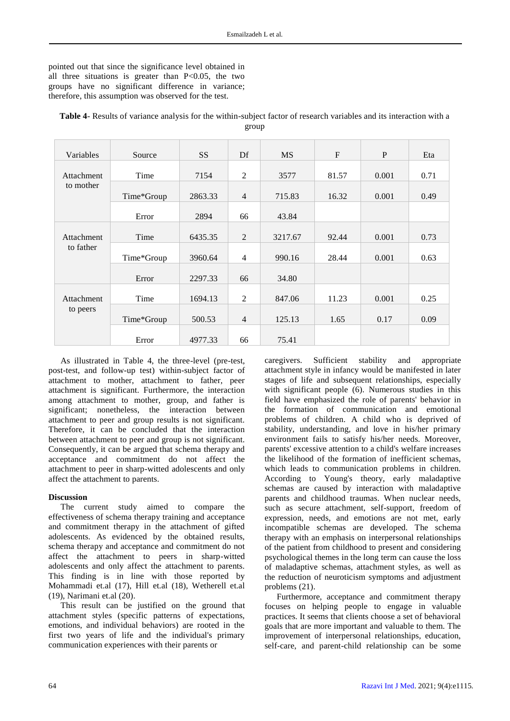pointed out that since the significance level obtained in all three situations is greater than  $P<0.05$ , the two groups have no significant difference in variance; therefore, this assumption was observed for the test.

| Variables         | Source     | <b>SS</b> | Df             | <b>MS</b> | $\mathbf{F}$ | P     | Eta  |
|-------------------|------------|-----------|----------------|-----------|--------------|-------|------|
| <b>Attachment</b> | Time       | 7154      | $\overline{2}$ | 3577      | 81.57        | 0.001 | 0.71 |
| to mother         | Time*Group | 2863.33   | $\overline{4}$ | 715.83    | 16.32        | 0.001 | 0.49 |
|                   | Error      | 2894      | 66             | 43.84     |              |       |      |
|                   |            |           |                |           |              |       |      |
| <b>Attachment</b> | Time       | 6435.35   | $\overline{2}$ | 3217.67   | 92.44        | 0.001 | 0.73 |
| to father         | Time*Group | 3960.64   | $\overline{4}$ | 990.16    | 28.44        | 0.001 | 0.63 |
|                   | Error      | 2297.33   | 66             | 34.80     |              |       |      |
|                   |            |           |                |           |              |       |      |
| <b>Attachment</b> | Time       | 1694.13   | $\overline{2}$ | 847.06    | 11.23        | 0.001 | 0.25 |
| to peers          | Time*Group | 500.53    | $\overline{4}$ | 125.13    | 1.65         | 0.17  | 0.09 |
|                   | Error      | 4977.33   | 66             | 75.41     |              |       |      |

**Table 4**- Results of variance analysis for the within-subject factor of research variables and its interaction with a group

As illustrated in Table 4, the three-level (pre-test, post-test, and follow-up test) within-subject factor of attachment to mother, attachment to father, peer attachment is significant. Furthermore, the interaction among attachment to mother, group, and father is significant; nonetheless, the interaction between attachment to peer and group results is not significant. Therefore, it can be concluded that the interaction between attachment to peer and group is not significant. Consequently, it can be argued that schema therapy and acceptance and commitment do not affect the attachment to peer in sharp-witted adolescents and only affect the attachment to parents.

## **Discussion**

The current study aimed to compare the effectiveness of schema therapy training and acceptance and commitment therapy in the attachment of gifted adolescents. As evidenced by the obtained results, schema therapy and acceptance and commitment do not affect the attachment to peers in sharp-witted adolescents and only affect the attachment to parents. This finding is in line with those reported by Mohammadi et.al (17), Hill et.al (18), Wetherell et.al (19), Narimani et.al (20).

This result can be justified on the ground that attachment styles (specific patterns of expectations, emotions, and individual behaviors) are rooted in the first two years of life and the individual's primary communication experiences with their parents or

caregivers. Sufficient stability and appropriate attachment style in infancy would be manifested in later stages of life and subsequent relationships, especially with significant people (6). Numerous studies in this field have emphasized the role of parents' behavior in the formation of communication and emotional problems of children. A child who is deprived of stability, understanding, and love in his/her primary environment fails to satisfy his/her needs. Moreover, parents' excessive attention to a child's welfare increases the likelihood of the formation of inefficient schemas, which leads to communication problems in children. According to Young's theory, early maladaptive schemas are caused by interaction with maladaptive parents and childhood traumas. When nuclear needs, such as secure attachment, self-support, freedom of expression, needs, and emotions are not met, early incompatible schemas are developed. The schema therapy with an emphasis on interpersonal relationships of the patient from childhood to present and considering psychological themes in the long term can cause the loss of maladaptive schemas, attachment styles, as well as the reduction of neuroticism symptoms and adjustment problems (21).

Furthermore, acceptance and commitment therapy focuses on helping people to engage in valuable practices. It seems that clients choose a set of behavioral goals that are more important and valuable to them. The improvement of interpersonal relationships, education, self-care, and parent-child relationship can be some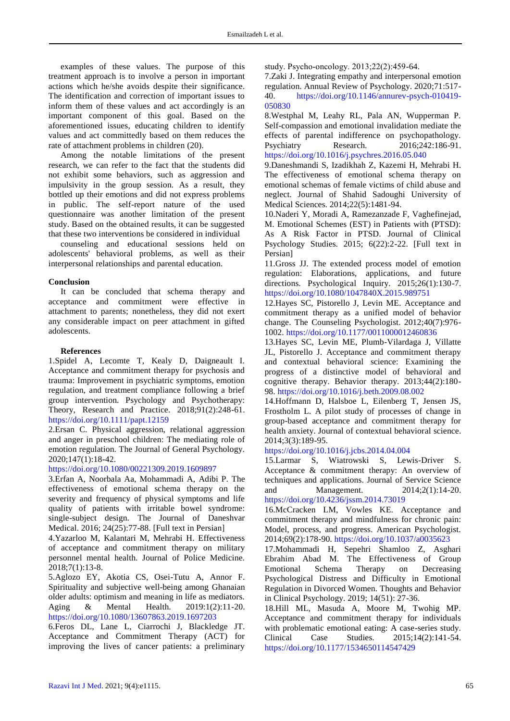examples of these values. The purpose of this treatment approach is to involve a person in important actions which he/she avoids despite their significance. The identification and correction of important issues to inform them of these values and act accordingly is an important component of this goal. Based on the aforementioned issues, educating children to identify values and act committedly based on them reduces the rate of attachment problems in children (20).

Among the notable limitations of the present research, we can refer to the fact that the students did not exhibit some behaviors, such as aggression and impulsivity in the group session. As a result, they bottled up their emotions and did not express problems in public. The self-report nature of the used questionnaire was another limitation of the present study. Based on the obtained results, it can be suggested that these two interventions be considered in individual

counseling and educational sessions held on adolescents' behavioral problems, as well as their interpersonal relationships and parental education.

#### **Conclusion**

It can be concluded that schema therapy and acceptance and commitment were effective in attachment to parents; nonetheless, they did not exert any considerable impact on peer attachment in gifted adolescents.

#### **References**

1.Spidel A, Lecomte T, Kealy D, Daigneault I. Acceptance and commitment therapy for psychosis and trauma: Improvement in psychiatric symptoms, emotion regulation, and treatment compliance following a brief group intervention. Psychology and Psychotherapy: Theory, Research and Practice. 2018;91(2):248-61. <https://doi.org/10.1111/papt.12159>

2.Ersan C. Physical aggression, relational aggression and anger in preschool children: The mediating role of emotion regulation. The Journal of General Psychology. 2020;147(1):18-42.

<https://doi.org/10.1080/00221309.2019.1609897>

3.Erfan A, Noorbala Aa, Mohammadi A, Adibi P. The effectiveness of emotional schema therapy on the severity and frequency of physical symptoms and life quality of patients with irritable bowel syndrome: single-subject design. The Journal of Daneshvar Medical. 2016; 24(25):77-88. [Full text in Persian]

4.Yazarloo M, Kalantari M, Mehrabi H. Effectiveness of acceptance and commitment therapy on military personnel mental health. Journal of Police Medicine. 2018;7(1):13-8.

5.Aglozo EY, Akotia CS, Osei-Tutu A, Annor F. Spirituality and subjective well-being among Ghanaian older adults: optimism and meaning in life as mediators. Aging & Mental Health. 2019:1(2):11-20. <https://doi.org/10.1080/13607863.2019.1697203>

6.Feros DL, Lane L, Ciarrochi J, Blackledge JT. Acceptance and Commitment Therapy (ACT) for improving the lives of cancer patients: a preliminary

study. Psycho‐oncology. 2013;22(2):459-64.

7.Zaki J. Integrating empathy and interpersonal emotion regulation. Annual Review of Psychology. 2020;71:517- 40. [https://doi.org/10.1146/annurev-psych-010419-](https://doi.org/10.1146/annurev-psych-010419-050830) [050830](https://doi.org/10.1146/annurev-psych-010419-050830)

8.Westphal M, Leahy RL, Pala AN, Wupperman P. Self-compassion and emotional invalidation mediate the effects of parental indifference on psychopathology.<br>Psychiatry Research. 2016;242:186-91. 2016;242:186-91. <https://doi.org/10.1016/j.psychres.2016.05.040>

9.Daneshmandi S, Izadikhah Z, Kazemi H, Mehrabi H. The effectiveness of emotional schema therapy on emotional schemas of female victims of child abuse and neglect. Journal of Shahid Sadoughi University of Medical Sciences. 2014;22(5):1481-94.

10.Naderi Y, Moradi A, Ramezanzade F, Vaghefinejad, M. Emotional Schemes (EST) in Patients with (PTSD): As A Risk Factor in PTSD. Journal of Clinical Psychology Studies. 2015; 6(22):2-22. [Full text in Persian]

11.Gross JJ. The extended process model of emotion regulation: Elaborations, applications, and future directions. Psychological Inquiry. 2015;26(1):130-7. <https://doi.org/10.1080/1047840X.2015.989751>

12.Hayes SC, Pistorello J, Levin ME. Acceptance and commitment therapy as a unified model of behavior change. The Counseling Psychologist. 2012;40(7):976- 1002.<https://doi.org/10.1177/0011000012460836>

13.Hayes SC, Levin ME, Plumb-Vilardaga J, Villatte JL, Pistorello J. Acceptance and commitment therapy and contextual behavioral science: Examining the progress of a distinctive model of behavioral and cognitive therapy. Behavior therapy. 2013;44(2):180- 98.<https://doi.org/10.1016/j.beth.2009.08.002>

14.Hoffmann D, Halsboe L, Eilenberg T, Jensen JS, Frostholm L. A pilot study of processes of change in group-based acceptance and commitment therapy for health anxiety. Journal of contextual behavioral science. 2014;3(3):189-95.

<https://doi.org/10.1016/j.jcbs.2014.04.004>

15.Larmar S, Wiatrowski S, Lewis-Driver S. Acceptance & commitment therapy: An overview of techniques and applications. Journal of Service Science and Management. 2014;2(1):14-20. <https://doi.org/10.4236/jssm.2014.73019>

16.McCracken LM, Vowles KE. Acceptance and commitment therapy and mindfulness for chronic pain: Model, process, and progress. American Psychologist. 2014;69(2):178-90.<https://doi.org/10.1037/a0035623>

17.Mohammadi H, Sepehri Shamloo Z, Asghari Ebrahim Abad M. The Effectiveness of Group Emotional Schema Therapy on Decreasing Psychological Distress and Difficulty in Emotional Regulation in Divorced Women. Thoughts and Behavior in Clinical Psychology. 2019; 14(51): 27-36.

18.Hill ML, Masuda A, Moore M, Twohig MP. Acceptance and commitment therapy for individuals with problematic emotional eating: A case-series study. Clinical Case Studies. 2015;14(2):141-54. <https://doi.org/10.1177/1534650114547429>